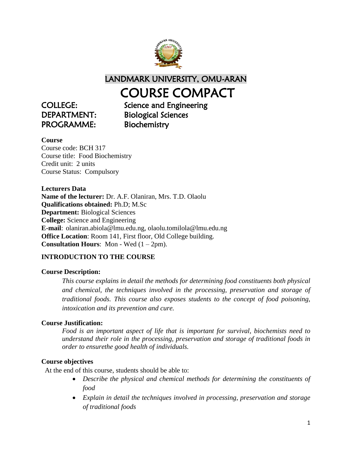

LANDMARK UNIVERSITY, OMU-ARAN

## COURSE COMPACT

PROGRAMME: Biochemistry

COLLEGE: Science and Engineering DEPARTMENT: Biological Sciences

## **Course**

Course code: BCH 317 Course title: Food Biochemistry Credit unit: 2 units Course Status: Compulsory

**Lecturers Data Name of the lecturer:** Dr. A.F. Olaniran, Mrs. T.D. Olaolu **Qualifications obtained:** Ph.D; M.Sc **Department:** Biological Sciences **College:** Science and Engineering **E-mail**: olaniran.abiola@lmu.edu.ng, olaolu.tomilola@lmu.edu.ng **Office Location**: Room 141, First floor, Old College building. **Consultation Hours**: Mon - Wed (1 – 2pm).

## **INTRODUCTION TO THE COURSE**

## **Course Description:**

*This course explains in detail the methods for determining food constituents both physical and chemical, the techniques involved in the processing, preservation and storage of traditional foods. This course also exposes students to the concept of food poisoning, intoxication and its prevention and cure.*

## **Course Justification:**

*Food is an important aspect of life that is important for survival, biochemists need to understand their role in the processing, preservation and storage of traditional foods in order to ensurethe good health of individuals.*

## **Course objectives**

At the end of this course, students should be able to:

- *Describe the physical and chemical methods for determining the constituents of food*
- *Explain in detail the techniques involved in processing, preservation and storage of traditional foods*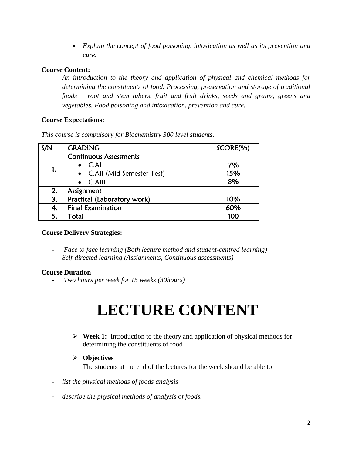*Explain the concept of food poisoning, intoxication as well as its prevention and cure.*

## **Course Content:**

*An introduction to the theory and application of physical and chemical methods for determining the constituents of food. Processing, preservation and storage of traditional foods – root and stem tubers, fruit and fruit drinks, seeds and grains, greens and vegetables. Food poisoning and intoxication, prevention and cure.*

## **Course Expectations:**

*This course is compulsory for Biochemistry 300 level students.*

| S/N | <b>GRADING</b>                | SCORE(%) |
|-----|-------------------------------|----------|
| 1.  | <b>Continuous Assessments</b> |          |
|     | $\bullet$ C.Al                | 7%       |
|     | • C.All (Mid-Semester Test)   | 15%      |
|     | $\bullet$ C.Alll              | 8%       |
| 2.  | Assignment                    |          |
| 3.  | Practical (Laboratory work)   | 10%      |
| 4.  | <b>Final Examination</b>      | 60%      |
| 5.  | Total                         | 100      |

## **Course Delivery Strategies:**

- *Face to face learning (Both lecture method and student-centred learning)*
- *Self-directed learning (Assignments, Continuous assessments)*

## **Course Duration**

- *Two hours per week for 15 weeks (30hours)*

# **LECTURE CONTENT**

 **Week 1:** Introduction to the theory and application of physical methods for determining the constituents of food

## **Objectives**

The students at the end of the lectures for the week should be able to

- list the physical methods of foods analysis
- *describe the physical methods of analysis of foods.*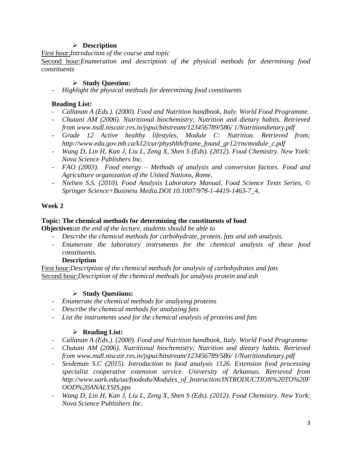## **Description**

First hour:*Introduction of the course and topic*

Second hour:*Enumeration and description of the physical methods for determining food constituents*

## **Study Question:**

- *Highlight the physical methods for determining food constituents*

## **Reading List:**

- *Callanan A (Eds.). (2000). Food and Nutrition handbook, Italy. World Food Programme.*
- *Chutani AM (2006). Nutritional biochemistry; Nutrition and dietary habits. Retrieved from www.nsdl.niscair.res.in/jspui/bitstream/123456789/586/ 1/Nutritiondietary.pdf*
- *Grade 12 Active healthy lifestyles, Module C: Nutrition. Retrieved from; http://www.edu.gov.mb.ca/k12/cur/physhlth/frame\_found\_gr12/rm/module\_c.pdf*
- *Wang D, Lin H, Kan J, Liu L, Zeng X, Shen S (Eds). (2012). Food Chemistry. New York: Nova Science Publishers Inc.*
- *FAO (2003). Food energy – Methods of analysis and conversion factors. Food and Agriculture organization of the United Nations, Rome.*
- *Nielsen S.S. (2010). Food Analysis Laboratory Manual, Food Science Texts Series, © Springer Science+Business Media.DOI 10.1007/978-1-4419-1463-7\_4,*

## **Week 2**

## **Topic: The chemical methods for determining the constituents of food**

**Objectives:***at the end of the lecture, students should be able to*

- *Describe the chemical methods for carbohydrate, protein, fats and ash analysis.*
- *Enumerate the laboratory instruments for the chemical analysis of these food constituents.*

## **Description**

First hour:*Description of the chemical methods for analysis of carbohydrates and fats* Second hour:*Description of the chemical methods for analysis protein and ash*

## **Study Questions:**

- *Enumerate the chemical methods for analyzing proteins*
- *Describe the chemical methods for analyzing fats*
- *List the instruments used for the chemical analysis of proteins and fats*

- *Callanan A (Eds.). (2000). Food and Nutrition handbook, Italy. World Food Programme*
- *Chutani AM (2006). Nutritional biochemistry; Nutrition and dietary habits. Retrieved from www.nsdl.niscair.res.in/jspui/bitstream/123456789/586/ 1/Nutritiondietary.pdf*
- *Seideman S.C (2015). Introduction to food analysis 1126. Extension food processing specialist cooperative extension service. University of Arkansas. Retrieved from http://www.uark.edu/ua/foodedu/Modules\_of\_Instruction/INTRODUCTION%20TO%20F OOD%20ANALYSIS.pps*
- *Wang D, Lin H, Kan J, Liu L, Zeng X, Shen S (Eds). (2012). Food Chemistry. New York: Nova Science Publishers Inc.*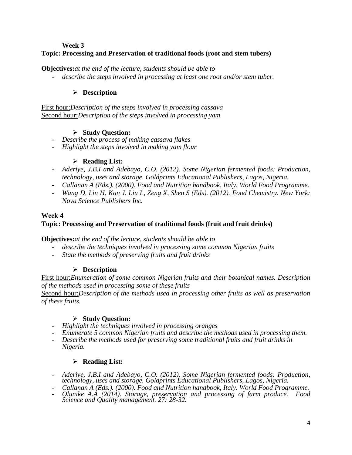#### **Week 3**

## **Topic: Processing and Preservation of traditional foods (root and stem tubers)**

#### **Objectives:***at the end of the lecture, students should be able to*

- *describe the steps involved in processing at least one root and/or stem tuber.*

#### **Description**

First hour:*Description of the steps involved in processing cassava* Second hour:*Description of the steps involved in processing yam*

#### **Study Question:**

- *Describe the process of making cassava flakes*
- *Highlight the steps involved in making yam flour*

#### **Reading List:**

- *Aderiye, J.B.I and Adebayo, C.O. (2012). Some Nigerian fermented foods: Production, technology, uses and storage. Goldprints Educational Publishers, Lagos, Nigeria.*
- *Callanan A (Eds.). (2000). Food and Nutrition handbook, Italy. World Food Programme.*
- *Wang D, Lin H, Kan J, Liu L, Zeng X, Shen S (Eds). (2012). Food Chemistry. New York: Nova Science Publishers Inc.*

#### **Week 4**

## **Topic: Processing and Preservation of traditional foods (fruit and fruit drinks)**

**Objectives:***at the end of the lecture, students should be able to*

- *describe the techniques involved in processing some common Nigerian fruits*
- *State the methods of preserving fruits and fruit drinks*

## **Description**

First hour:*Enumeration of some common Nigerian fruits and their botanical names. Description of the methods used in processing some of these fruits*

Second hour:*Description of the methods used in processing other fruits as well as preservation of these fruits.*

#### **Study Question:**

- *Highlight the techniques involved in processing oranges*
- *Enumerate 5 common Nigerian fruits and describe the methods used in processing them.*
- *Describe the methods used for preserving some traditional fruits and fruit drinks in Nigeria.*

- *Aderiye, J.B.I and Adebayo, C.O. (2012). Some Nigerian fermented foods: Production, technology, uses and storage. Goldprints Educational Publishers, Lagos, Nigeria.*
- *Callanan A (Eds.). (2000). Food and Nutrition handbook, Italy. World Food Programme.*
- *Olunike A.A (2014). Storage, preservation and processing of farm produce. Food Science and Quality management. 27: 28-32.*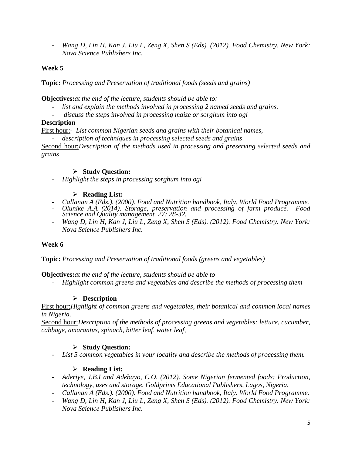- *Wang D, Lin H, Kan J, Liu L, Zeng X, Shen S (Eds). (2012). Food Chemistry. New York: Nova Science Publishers Inc.*

## **Week 5**

**Topic:** *Processing and Preservation of traditional foods (seeds and grains)*

**Objectives:***at the end of the lecture, students should be able to:*

- list and explain the methods involved in processing 2 named seeds and grains.
- *discuss the steps involved in processing maize or sorghum into ogi*

## **Description**

First hour:*- List common Nigerian seeds and grains with their botanical names,* 

- *description of techniques in processing selected seeds and grains*

Second hour:*Description of the methods used in processing and preserving selected seeds and grains*

## **Study Question:**

- *Highlight the steps in processing sorghum into ogi*

## **Reading List:**

- *Callanan A (Eds.). (2000). Food and Nutrition handbook, Italy. World Food Programme.*
- *Olunike A.A (2014). Storage, preservation and processing of farm produce. Food Science and Quality management. 27: 28-32.*
- *Wang D, Lin H, Kan J, Liu L, Zeng X, Shen S (Eds). (2012). Food Chemistry. New York: Nova Science Publishers Inc.*

## **Week 6**

**Topic:** *Processing and Preservation of traditional foods (greens and vegetables)*

**Objectives:***at the end of the lecture, students should be able to*

- *Highlight common greens and vegetables and describe the methods of processing them*

## **Description**

First hour:*Highlight of common greens and vegetables, their botanical and common local names in Nigeria.*

Second hour:*Description of the methods of processing greens and vegetables: lettuce, cucumber, cabbage, amarantus, spinach, bitter leaf, water leaf,* 

## **Study Question:**

- *List 5 common vegetables in your locality and describe the methods of processing them.*

- *Aderiye, J.B.I and Adebayo, C.O. (2012). Some Nigerian fermented foods: Production, technology, uses and storage. Goldprints Educational Publishers, Lagos, Nigeria.*
- *Callanan A (Eds.). (2000). Food and Nutrition handbook, Italy. World Food Programme.*
- *Wang D, Lin H, Kan J, Liu L, Zeng X, Shen S (Eds). (2012). Food Chemistry. New York: Nova Science Publishers Inc.*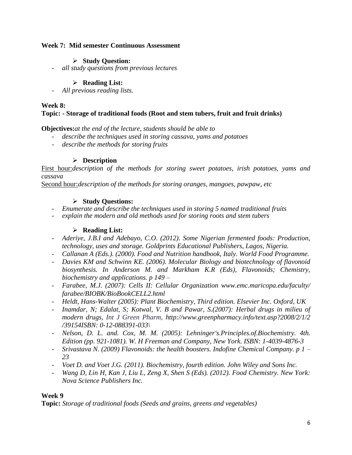#### **Week 7: Mid semester Continuous Assessment**

#### **Study Question:**

- *all study questions from previous lectures*

#### **Reading List:**

- *All previous reading lists.*

#### **Week 8:**

## **Topic: - Storage of traditional foods (Root and stem tubers, fruit and fruit drinks)**

#### **Objectives:***at the end of the lecture, students should be able to*

- *describe the techniques used in storing cassava, yams and potatoes*
- *describe the methods for storing fruits*

#### **Description**

First hour:*description of the methods for storing sweet potatoes, irish potatoes, yams and cassava*

Second hour:*description of the methods for storing oranges, mangoes, pawpaw, etc*

#### **Study Questions:**

- *Enumerate and describe the techniques used in storing 5 named traditional fruits*
- *explain the modern and old methods used for storing roots and stem tubers*

#### **Reading List:**

- *Aderiye, J.B.I and Adebayo, C.O. (2012). Some Nigerian fermented foods: Production, technology, uses and storage. Goldprints Educational Publishers, Lagos, Nigeria.*
- *Callanan A (Eds.). (2000). Food and Nutrition handbook, Italy. World Food Programme.*
- *Davies KM and Schwinn KE. (2006). Molecular Biology and biotechnology of flavonoid biosynthesis. In Anderson M. and Markham K.R (Eds), Flavonoids; Chemistry, biochemistry and applications. p 149 –*
- *Farabee, M.J. (2007): Cells II: Cellular Organization www.emc.maricopa.edu/faculty/ farabee/BIOBK/BioBookCELL2.html*
- *Heldt, Hans-Walter (2005): Plant Biochemistry, Third edition. Elsevier Inc. Oxford, UK*
- *Inamdar, N; Edalat, S; Kotwal, V. B and Pawar, S.(2007): Herbal drugs in milieu of modern drugs, Int J Green Pharm, http://www.greenpharmacy.info/text.asp?2008/2/1/2 /39154ISBN: 0-12-088391-033\*
- *Nelson, D. L. and. Cox, M. M. (2005): Lehninger's.Principles.of.Biochemistry. 4th. Edition (pp. 921-1081). W. H Freeman and Company, New York. ISBN: 1-4039-4876-3*
- *Srivastava N. (2009) Flavonoids: the health boosters. Indofine Chemical Company. p 1 – 23*
- *Voet D. and Voet J.G. (2011). Biochemistry, fourth edition. John Wiley and Sons Inc.*
- *Wang D, Lin H, Kan J, Liu L, Zeng X, Shen S (Eds). (2012). Food Chemistry. New York: Nova Science Publishers Inc.*

## **Week 9**

**Topic:** *Storage of traditional foods (Seeds and grains, greens and vegetables)*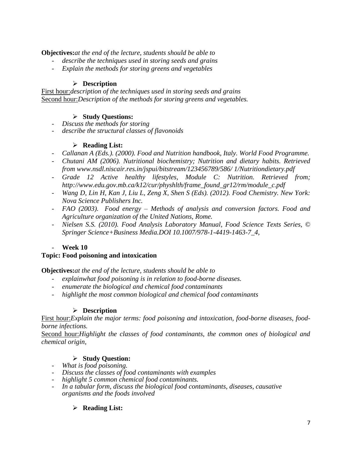**Objectives:***at the end of the lecture, students should be able to*

- *describe the techniques used in storing seeds and grains*
- *Explain the methods for storing greens and vegetables*

## **Description**

First hour:*description of the techniques used in storing seeds and grains* Second hour:*Description of the methods for storing greens and vegetables.* 

## **Study Questions:**

- *Discuss the methods for storing*
- *describe the structural classes of flavonoids*

## **Reading List:**

- *Callanan A (Eds.). (2000). Food and Nutrition handbook, Italy. World Food Programme.*
- *Chutani AM (2006). Nutritional biochemistry; Nutrition and dietary habits. Retrieved from www.nsdl.niscair.res.in/jspui/bitstream/123456789/586/ 1/Nutritiondietary.pdf*
- *Grade 12 Active healthy lifestyles, Module C: Nutrition. Retrieved from; http://www.edu.gov.mb.ca/k12/cur/physhlth/frame\_found\_gr12/rm/module\_c.pdf*
- *Wang D, Lin H, Kan J, Liu L, Zeng X, Shen S (Eds). (2012). Food Chemistry. New York: Nova Science Publishers Inc.*
- *FAO (2003). Food energy – Methods of analysis and conversion factors. Food and Agriculture organization of the United Nations, Rome.*
- *Nielsen S.S. (2010). Food Analysis Laboratory Manual, Food Science Texts Series, © Springer Science+Business Media.DOI 10.1007/978-1-4419-1463-7\_4,*

## - **Week 10**

## **Topic: Food poisoning and intoxication**

**Objectives:***at the end of the lecture, students should be able to*

- *explainwhat food poisoning is in relation to food-borne diseases.*
- *enumerate the biological and chemical food contaminants*
- *highlight the most common biological and chemical food contaminants*

## **Description**

First hour:*Explain the major terms: food poisoning and intoxication, food-borne diseases, foodborne infections.*

Second hour:*Highlight the classes of food contaminants, the common ones of biological and chemical origin,*

## **Study Question:**

- *What is food poisoning.*
- *Discuss the classes of food contaminants with examples*
- *highlight 5 common chemical food contaminants.*
- *In a tabular form, discuss the biological food contaminants, diseases, causative organisms and the foods involved*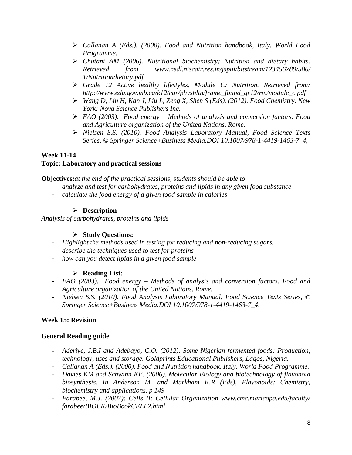- *Callanan A (Eds.). (2000). Food and Nutrition handbook, Italy. World Food Programme.*
- *Chutani AM (2006). Nutritional biochemistry; Nutrition and dietary habits. Retrieved from www.nsdl.niscair.res.in/jspui/bitstream/123456789/586/ 1/Nutritiondietary.pdf*
- *Grade 12 Active healthy lifestyles, Module C: Nutrition. Retrieved from; http://www.edu.gov.mb.ca/k12/cur/physhlth/frame\_found\_gr12/rm/module\_c.pdf*
- *Wang D, Lin H, Kan J, Liu L, Zeng X, Shen S (Eds). (2012). Food Chemistry. New York: Nova Science Publishers Inc.*
- *FAO (2003). Food energy – Methods of analysis and conversion factors. Food and Agriculture organization of the United Nations, Rome.*
- *Nielsen S.S. (2010). Food Analysis Laboratory Manual, Food Science Texts Series, © Springer Science+Business Media.DOI 10.1007/978-1-4419-1463-7\_4,*

#### **Week 11-14 Topic: Laboratory and practical sessions**

**Objectives:***at the end of the practical sessions, students should be able to*

- *analyze and test for carbohydrates, proteins and lipids in any given food substance*
- *calculate the food energy of a given food sample in calories*

## **Description**

*Analysis of carbohydrates, proteins and lipids*

## **Study Questions:**

- *Highlight the methods used in testing for reducing and non-reducing sugars.*
- *describe the techniques used to test for proteins*
- *how can you detect lipids in a given food sample*

## **Reading List:**

- *FAO (2003). Food energy – Methods of analysis and conversion factors. Food and Agriculture organization of the United Nations, Rome.*
- *Nielsen S.S. (2010). Food Analysis Laboratory Manual, Food Science Texts Series, © Springer Science+Business Media.DOI 10.1007/978-1-4419-1463-7\_4,*

## **Week 15: Revision**

## **General Reading guide**

- *Aderiye, J.B.I and Adebayo, C.O. (2012). Some Nigerian fermented foods: Production, technology, uses and storage. Goldprints Educational Publishers, Lagos, Nigeria.*
- *Callanan A (Eds.). (2000). Food and Nutrition handbook, Italy. World Food Programme.*
- *Davies KM and Schwinn KE. (2006). Molecular Biology and biotechnology of flavonoid biosynthesis. In Anderson M. and Markham K.R (Eds), Flavonoids; Chemistry, biochemistry and applications. p 149 –*
- *Farabee, M.J. (2007): Cells II: Cellular Organization www.emc.maricopa.edu/faculty/ farabee/BIOBK/BioBookCELL2.html*